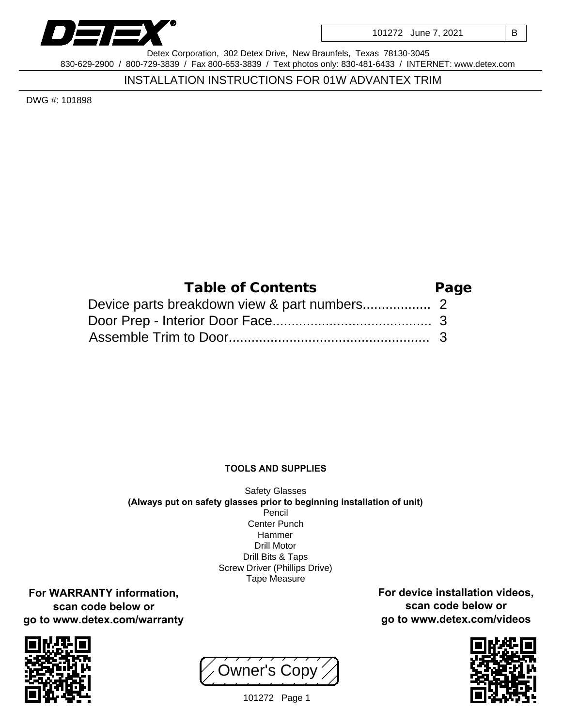

101272 June 7, 2021 | B

Detex Corporation, 302 Detex Drive, New Braunfels, Texas 78130-3045 830-629-2900 / 800-729-3839 / Fax 800-653-3839 / Text photos only: 830-481-6433 / INTERNET: www.detex.com

INSTALLATION INSTRUCTIONS FOR 01W ADVANTEX TRIM

DWG #: 101898

| Table of Contents | Page |
|-------------------|------|
|                   |      |
|                   |      |
|                   |      |

## **TOOLS AND SUPPLIES**

Safety Glasses **(Always put on safety glasses prior to beginning installation of unit)** Pencil Center Punch Hammer Drill Motor Drill Bits & Taps Screw Driver (Phillips Drive) Tape Measure

**For WARRANTY information, scan code below or go to www.detex.com/warranty**



Owner's Copy



**For device installation videos, scan code below or go to www.detex.com/videos**

101272 Page 1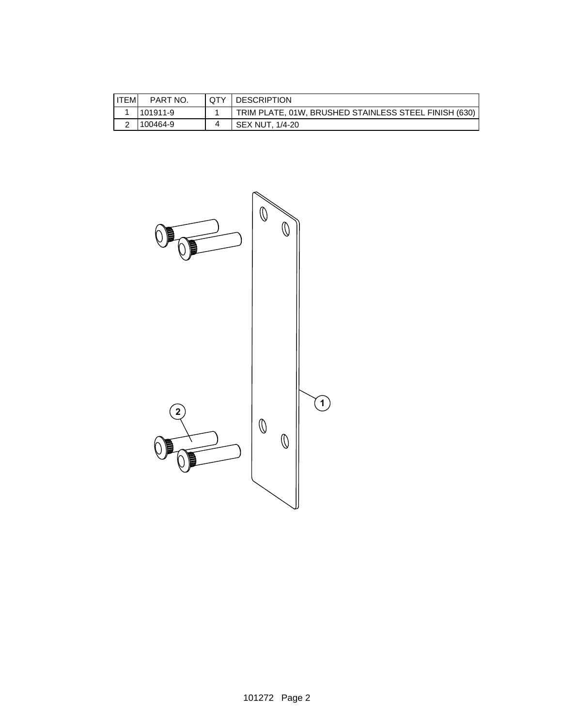| <b>ITEM</b> | PART NO.   | <b>DESCRIPTION</b>                                    |
|-------------|------------|-------------------------------------------------------|
|             | l 101911-9 | TRIM PLATE, 01W, BRUSHED STAINLESS STEEL FINISH (630) |
|             | '100464-9  | SEX NUT, 1/4-20                                       |